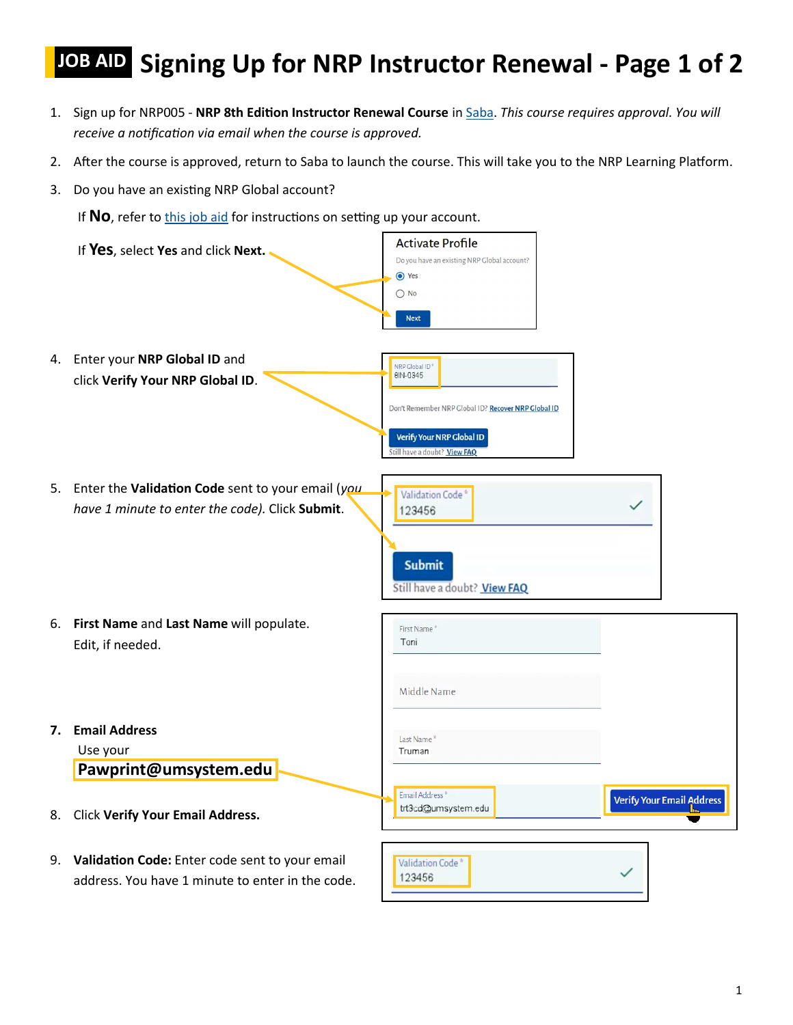## **JOB AID** Signing Up for NRP Instructor Renewal - Page 1 of 2

- 1. Sign up for NRP005 **NRP 8th Edition Instructor Renewal Course** in [Saba.](https://missouri.sabacloud.com/Saba/Web_spf/NA3P1PRD0048/common/ledetail/NRP005/latestversion) *This course requires approval. You will receive a notification via email when the course is approved.*
- 2. After the course is approved, return to Saba to launch the course. This will take you to the NRP Learning Platform.
- 3. Do you have an existing NRP Global account?

If No, refer to *this job aid* for instructions on setting up your account.

|    | If Yes, select Yes and click Next.                                                                      | <b>Activate Profile</b><br>Do you have an existing NRP Global account?<br>● Yes<br>$\bigcirc$ No<br><b>Next</b>                                |
|----|---------------------------------------------------------------------------------------------------------|------------------------------------------------------------------------------------------------------------------------------------------------|
|    | 4. Enter your NRP Global ID and<br>click Verify Your NRP Global ID.                                     | NRP Global ID*<br>8IN-0345<br>Don't Remember NRP Global ID? Recover NRP Global ID<br>Verify Your NRP Global ID<br>Still have a doubt? View FAQ |
|    | 5. Enter the Validation Code sent to your email (you<br>have 1 minute to enter the code). Click Submit. | Validation Code <sup>*</sup><br>123456<br><b>Submit</b><br>Still have a doubt? View FAQ                                                        |
|    | 6. First Name and Last Name will populate.<br>Edit, if needed.                                          | First Name <sup>®</sup><br>Toni<br>Middle Name                                                                                                 |
| 7. | <b>Email Address</b><br>Use your<br>Pawprint@umsystem.edu                                               | Last Name<br>Truman                                                                                                                            |
| 8. | <b>Click Verify Your Email Address.</b>                                                                 | Email Address <sup>®</sup><br><b>Verify Your Email Address</b><br>trt3cd@umsystem.edu<br>ha.                                                   |
|    | 9. Validation Code: Enter code sent to your email<br>address. You have 1 minute to enter in the code.   | Validation Code*<br>123456                                                                                                                     |